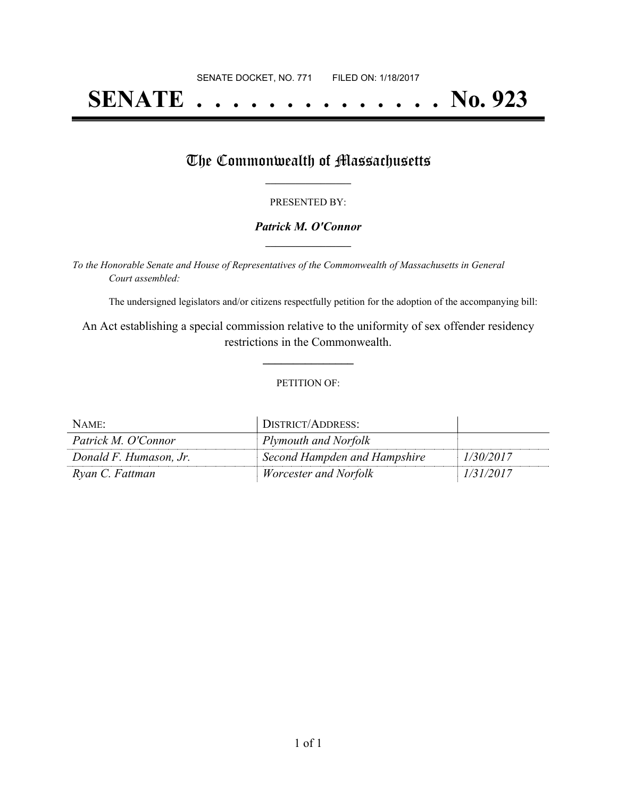# **SENATE . . . . . . . . . . . . . . No. 923**

### The Commonwealth of Massachusetts

#### PRESENTED BY:

#### *Patrick M. O'Connor* **\_\_\_\_\_\_\_\_\_\_\_\_\_\_\_\_\_**

*To the Honorable Senate and House of Representatives of the Commonwealth of Massachusetts in General Court assembled:*

The undersigned legislators and/or citizens respectfully petition for the adoption of the accompanying bill:

An Act establishing a special commission relative to the uniformity of sex offender residency restrictions in the Commonwealth.

**\_\_\_\_\_\_\_\_\_\_\_\_\_\_\_**

#### PETITION OF:

| NAME:                  | DISTRICT/ADDRESS:            |           |
|------------------------|------------------------------|-----------|
| Patrick M. O'Connor    | Plymouth and Norfolk         |           |
| Donald F. Humason, Jr. | Second Hampden and Hampshire | 1/30/2017 |
| Ryan C. Fattman        | <i>Worcester and Norfolk</i> | 1/31/2017 |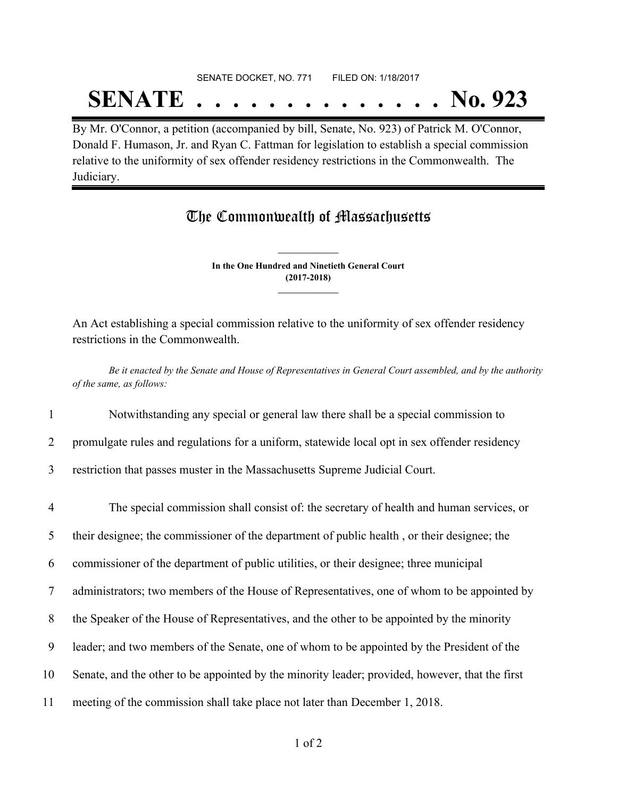# SENATE DOCKET, NO. 771 FILED ON: 1/18/2017 **SENATE . . . . . . . . . . . . . . No. 923**

By Mr. O'Connor, a petition (accompanied by bill, Senate, No. 923) of Patrick M. O'Connor, Donald F. Humason, Jr. and Ryan C. Fattman for legislation to establish a special commission relative to the uniformity of sex offender residency restrictions in the Commonwealth. The Judiciary.

## The Commonwealth of Massachusetts

**In the One Hundred and Ninetieth General Court (2017-2018) \_\_\_\_\_\_\_\_\_\_\_\_\_\_\_**

**\_\_\_\_\_\_\_\_\_\_\_\_\_\_\_**

An Act establishing a special commission relative to the uniformity of sex offender residency restrictions in the Commonwealth.

Be it enacted by the Senate and House of Representatives in General Court assembled, and by the authority *of the same, as follows:*

1 Notwithstanding any special or general law there shall be a special commission to

2 promulgate rules and regulations for a uniform, statewide local opt in sex offender residency

3 restriction that passes muster in the Massachusetts Supreme Judicial Court.

 The special commission shall consist of: the secretary of health and human services, or their designee; the commissioner of the department of public health , or their designee; the commissioner of the department of public utilities, or their designee; three municipal administrators; two members of the House of Representatives, one of whom to be appointed by the Speaker of the House of Representatives, and the other to be appointed by the minority leader; and two members of the Senate, one of whom to be appointed by the President of the Senate, and the other to be appointed by the minority leader; provided, however, that the first meeting of the commission shall take place not later than December 1, 2018.